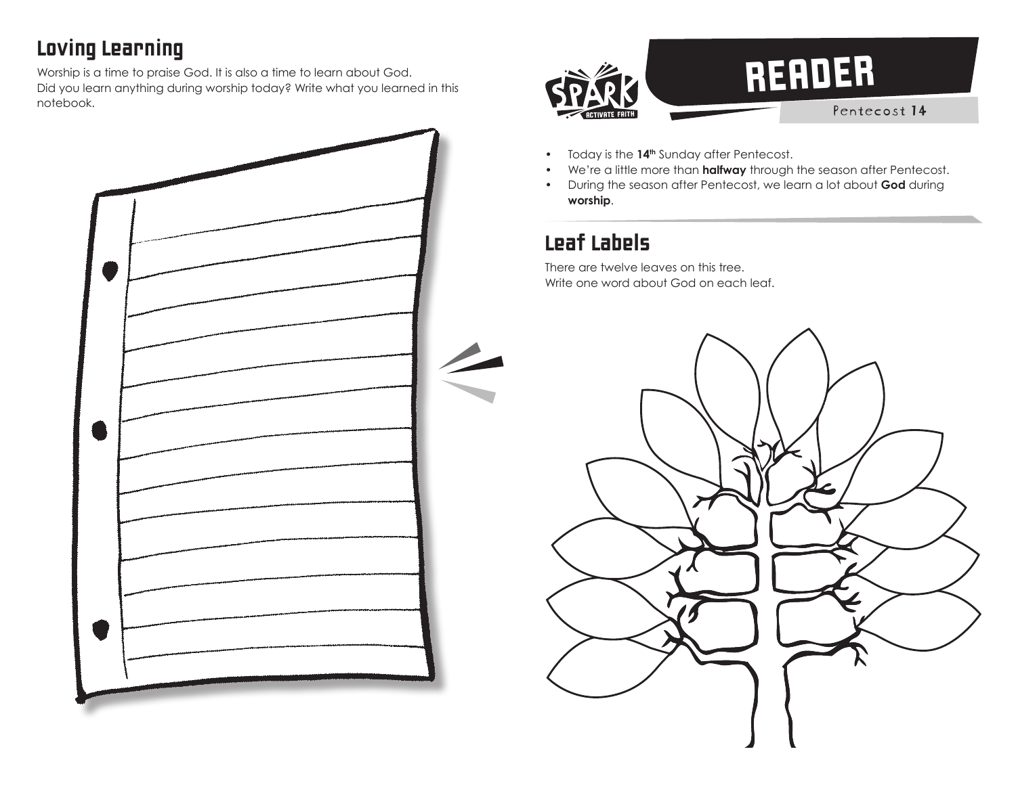## Loving Learning

Worship is a time to praise God. It is also a time to learn about God. Did you learn anything during worship today? Write what you learned in this notebook.





- Today is the **14th** Sunday after Pentecost.
- We're a little more than **halfway** through the season after Pentecost.
- During the season after Pentecost, we learn a lot about **God** during **worship**.

## Leaf Labels

There are twelve leaves on this tree. Write one word about God on each leaf.